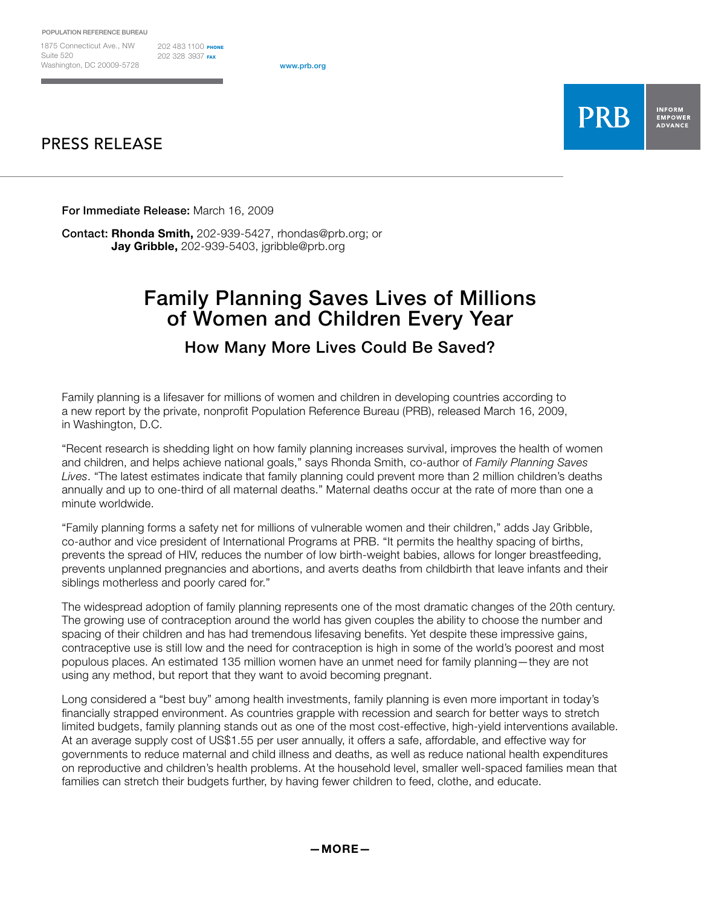Population Reference Bureau

1875 Connecticut Ave., NW Suite 520 Washington, DC 20009-5728 www.prb.org

202 483 1100 PHONE 202 328 3937 **FAX** 



Press Release

For Immediate Release: March 16, 2009

Contact: **Rhonda Smith,** 202-939-5427, rhondas@prb.org; or **Jay Gribble,** 202-939-5403, jgribble@prb.org

## Family Planning Saves Lives of Millions of Women and Children Every Year

## How Many More Lives Could Be Saved?

Family planning is a lifesaver for millions of women and children in developing countries according to a new report by the private, nonprofit Population Reference Bureau (PRB), released March 16, 2009, in Washington, D.C.

"Recent research is shedding light on how family planning increases survival, improves the health of women and children, and helps achieve national goals," says Rhonda Smith, co-author of *Family Planning Saves Lives*. "The latest estimates indicate that family planning could prevent more than 2 million children's deaths annually and up to one-third of all maternal deaths." Maternal deaths occur at the rate of more than one a minute worldwide.

"Family planning forms a safety net for millions of vulnerable women and their children," adds Jay Gribble, co-author and vice president of International Programs at PRB. "It permits the healthy spacing of births, prevents the spread of HIV, reduces the number of low birth-weight babies, allows for longer breastfeeding, prevents unplanned pregnancies and abortions, and averts deaths from childbirth that leave infants and their siblings motherless and poorly cared for."

The widespread adoption of family planning represents one of the most dramatic changes of the 20th century. The growing use of contraception around the world has given couples the ability to choose the number and spacing of their children and has had tremendous lifesaving benefits. Yet despite these impressive gains, contraceptive use is still low and the need for contraception is high in some of the world's poorest and most populous places. An estimated 135 million women have an unmet need for family planning—they are not using any method, but report that they want to avoid becoming pregnant.

Long considered a "best buy" among health investments, family planning is even more important in today's financially strapped environment. As countries grapple with recession and search for better ways to stretch limited budgets, family planning stands out as one of the most cost-effective, high-yield interventions available. At an average supply cost of US\$1.55 per user annually, it offers a safe, affordable, and effective way for governments to reduce maternal and child illness and deaths, as well as reduce national health expenditures on reproductive and children's health problems. At the household level, smaller well-spaced families mean that families can stretch their budgets further, by having fewer children to feed, clothe, and educate.